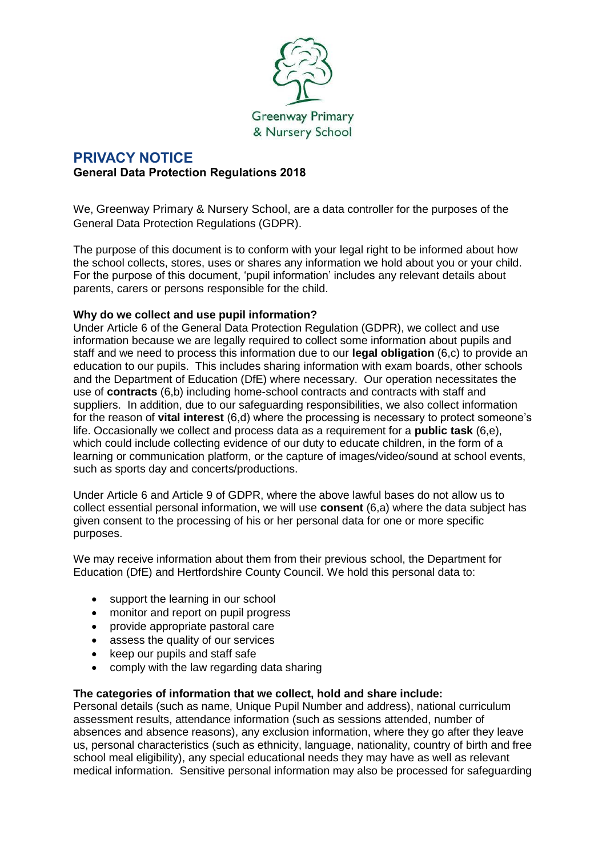

# **PRIVACY NOTICE General Data Protection Regulations 2018**

We, Greenway Primary & Nursery School, are a data controller for the purposes of the General Data Protection Regulations (GDPR).

The purpose of this document is to conform with your legal right to be informed about how the school collects, stores, uses or shares any information we hold about you or your child. For the purpose of this document, 'pupil information' includes any relevant details about parents, carers or persons responsible for the child.

### **Why do we collect and use pupil information?**

Under Article 6 of the General Data Protection Regulation (GDPR), we collect and use information because we are legally required to collect some information about pupils and staff and we need to process this information due to our **legal obligation** (6,c) to provide an education to our pupils. This includes sharing information with exam boards, other schools and the Department of Education (DfE) where necessary. Our operation necessitates the use of **contracts** (6,b) including home-school contracts and contracts with staff and suppliers. In addition, due to our safeguarding responsibilities, we also collect information for the reason of **vital interest** (6,d) where the processing is necessary to protect someone's life. Occasionally we collect and process data as a requirement for a **public task** (6,e), which could include collecting evidence of our duty to educate children, in the form of a learning or communication platform, or the capture of images/video/sound at school events, such as sports day and concerts/productions.

Under Article 6 and Article 9 of GDPR, where the above lawful bases do not allow us to collect essential personal information, we will use **consent** (6,a) where the data subject has given consent to the processing of his or her personal data for one or more specific purposes.

We may receive information about them from their previous school, the Department for Education (DfE) and Hertfordshire County Council. We hold this personal data to:

- support the learning in our school
- monitor and report on pupil progress
- provide appropriate pastoral care
- assess the quality of our services
- keep our pupils and staff safe
- comply with the law regarding data sharing

### **The categories of information that we collect, hold and share include:**

Personal details (such as name, Unique Pupil Number and address), national curriculum assessment results, attendance information (such as sessions attended, number of absences and absence reasons), any exclusion information, where they go after they leave us, personal characteristics (such as ethnicity, language, nationality, country of birth and free school meal eligibility), any special educational needs they may have as well as relevant medical information. Sensitive personal information may also be processed for safeguarding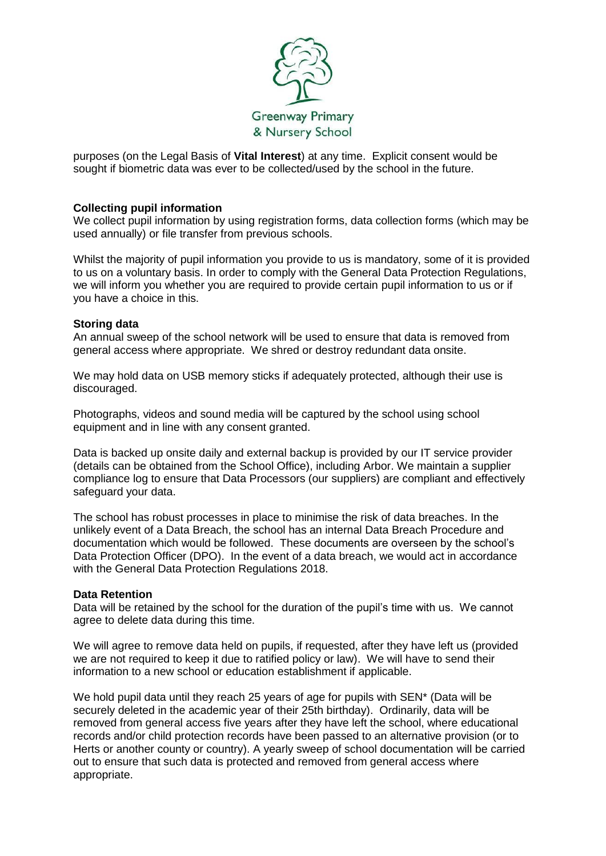

purposes (on the Legal Basis of **Vital Interest**) at any time. Explicit consent would be sought if biometric data was ever to be collected/used by the school in the future.

#### **Collecting pupil information**

We collect pupil information by using registration forms, data collection forms (which may be used annually) or file transfer from previous schools.

Whilst the majority of pupil information you provide to us is mandatory, some of it is provided to us on a voluntary basis. In order to comply with the General Data Protection Regulations, we will inform you whether you are required to provide certain pupil information to us or if you have a choice in this.

#### **Storing data**

An annual sweep of the school network will be used to ensure that data is removed from general access where appropriate. We shred or destroy redundant data onsite.

We may hold data on USB memory sticks if adequately protected, although their use is discouraged.

Photographs, videos and sound media will be captured by the school using school equipment and in line with any consent granted.

Data is backed up onsite daily and external backup is provided by our IT service provider (details can be obtained from the School Office), including Arbor. We maintain a supplier compliance log to ensure that Data Processors (our suppliers) are compliant and effectively safeguard your data.

The school has robust processes in place to minimise the risk of data breaches. In the unlikely event of a Data Breach, the school has an internal Data Breach Procedure and documentation which would be followed. These documents are overseen by the school's Data Protection Officer (DPO). In the event of a data breach, we would act in accordance with the General Data Protection Regulations 2018.

#### **Data Retention**

Data will be retained by the school for the duration of the pupil's time with us. We cannot agree to delete data during this time.

We will agree to remove data held on pupils, if requested, after they have left us (provided we are not required to keep it due to ratified policy or law). We will have to send their information to a new school or education establishment if applicable.

We hold pupil data until they reach 25 years of age for pupils with SEN<sup>\*</sup> (Data will be securely deleted in the academic year of their 25th birthday). Ordinarily, data will be removed from general access five years after they have left the school, where educational records and/or child protection records have been passed to an alternative provision (or to Herts or another county or country). A yearly sweep of school documentation will be carried out to ensure that such data is protected and removed from general access where appropriate.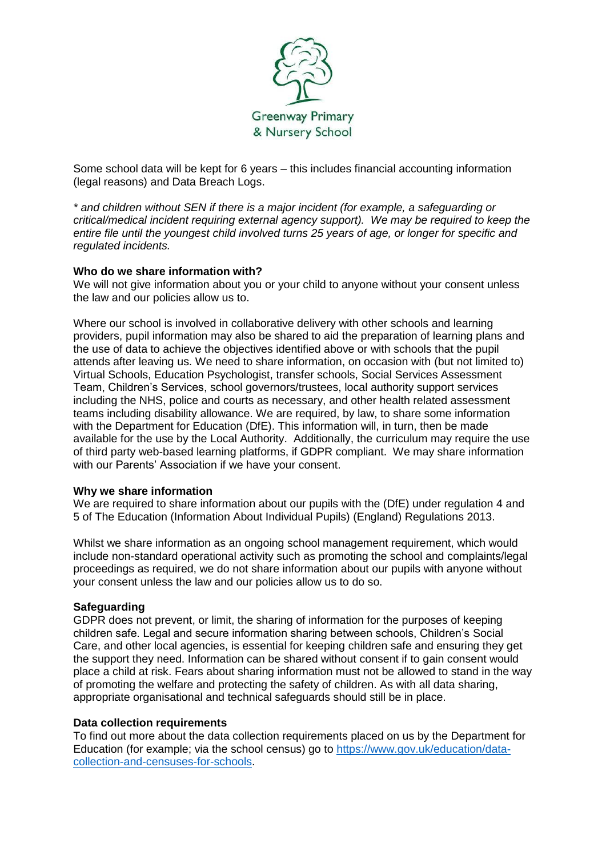

Some school data will be kept for 6 years – this includes financial accounting information (legal reasons) and Data Breach Logs.

*\* and children without SEN if there is a major incident (for example, a safeguarding or critical/medical incident requiring external agency support). We may be required to keep the entire file until the youngest child involved turns 25 years of age, or longer for specific and regulated incidents.*

### **Who do we share information with?**

We will not give information about you or your child to anyone without your consent unless the law and our policies allow us to.

Where our school is involved in collaborative delivery with other schools and learning providers, pupil information may also be shared to aid the preparation of learning plans and the use of data to achieve the objectives identified above or with schools that the pupil attends after leaving us. We need to share information, on occasion with (but not limited to) Virtual Schools, Education Psychologist, transfer schools, Social Services Assessment Team, Children's Services, school governors/trustees, local authority support services including the NHS, police and courts as necessary, and other health related assessment teams including disability allowance. We are required, by law, to share some information with the Department for Education (DfE). This information will, in turn, then be made available for the use by the Local Authority. Additionally, the curriculum may require the use of third party web-based learning platforms, if GDPR compliant. We may share information with our Parents' Association if we have your consent.

#### **Why we share information**

We are required to share information about our pupils with the (DfE) under regulation 4 and 5 of The Education (Information About Individual Pupils) (England) Regulations 2013.

Whilst we share information as an ongoing school management requirement, which would include non-standard operational activity such as promoting the school and complaints/legal proceedings as required, we do not share information about our pupils with anyone without your consent unless the law and our policies allow us to do so.

### **Safeguarding**

GDPR does not prevent, or limit, the sharing of information for the purposes of keeping children safe. Legal and secure information sharing between schools, Children's Social Care, and other local agencies, is essential for keeping children safe and ensuring they get the support they need. Information can be shared without consent if to gain consent would place a child at risk. Fears about sharing information must not be allowed to stand in the way of promoting the welfare and protecting the safety of children. As with all data sharing, appropriate organisational and technical safeguards should still be in place.

#### **Data collection requirements**

To find out more about the data collection requirements placed on us by the Department for Education (for example; via the school census) go to [https://www.gov.uk/education/data](https://www.gov.uk/education/data-collection-and-censuses-for-schools)[collection-and-censuses-for-schools.](https://www.gov.uk/education/data-collection-and-censuses-for-schools)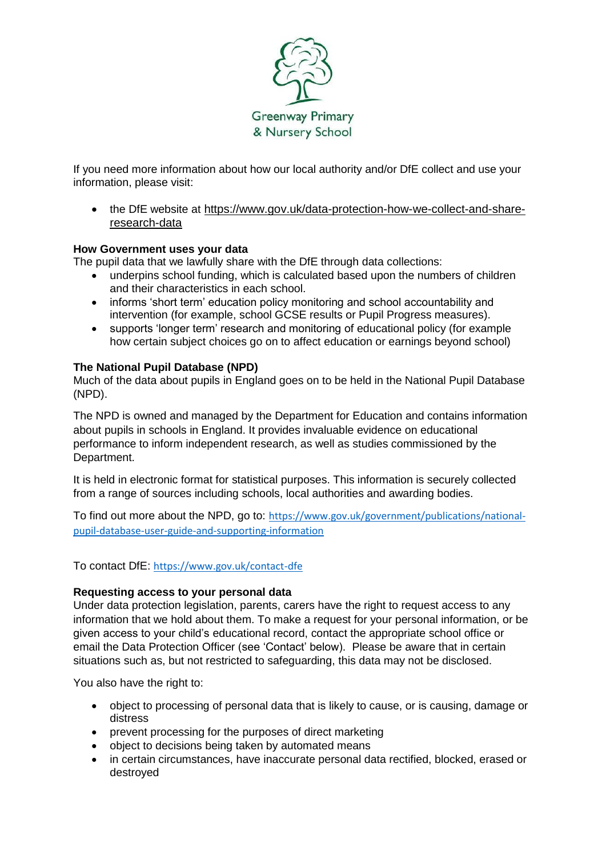

If you need more information about how our local authority and/or DfE collect and use your information, please visit:

 the DfE website at [https://www.gov.uk/data-protection-how-we-collect-and-share](https://www.gov.uk/data-protection-how-we-collect-and-share-research-data)[research-data](https://www.gov.uk/data-protection-how-we-collect-and-share-research-data)

### **How Government uses your data**

The pupil data that we lawfully share with the DfE through data collections:

- underpins school funding, which is calculated based upon the numbers of children and their characteristics in each school.
- informs 'short term' education policy monitoring and school accountability and intervention (for example, school GCSE results or Pupil Progress measures).
- supports 'longer term' research and monitoring of educational policy (for example how certain subject choices go on to affect education or earnings beyond school)

### **The National Pupil Database (NPD)**

Much of the data about pupils in England goes on to be held in the National Pupil Database (NPD).

The NPD is owned and managed by the Department for Education and contains information about pupils in schools in England. It provides invaluable evidence on educational performance to inform independent research, as well as studies commissioned by the Department.

It is held in electronic format for statistical purposes. This information is securely collected from a range of sources including schools, local authorities and awarding bodies.

To find out more about the NPD, go to: [https://www.gov.uk/government/publications/national](https://www.gov.uk/government/publications/national-pupil-database-user-guide-and-supporting-information)[pupil-database-user-guide-and-supporting-information](https://www.gov.uk/government/publications/national-pupil-database-user-guide-and-supporting-information)

To contact DfE: <https://www.gov.uk/contact-dfe>

### **Requesting access to your personal data**

Under data protection legislation, parents, carers have the right to request access to any information that we hold about them. To make a request for your personal information, or be given access to your child's educational record, contact the appropriate school office or email the Data Protection Officer (see 'Contact' below). Please be aware that in certain situations such as, but not restricted to safeguarding, this data may not be disclosed.

You also have the right to:

- object to processing of personal data that is likely to cause, or is causing, damage or distress
- prevent processing for the purposes of direct marketing
- object to decisions being taken by automated means
- in certain circumstances, have inaccurate personal data rectified, blocked, erased or destroyed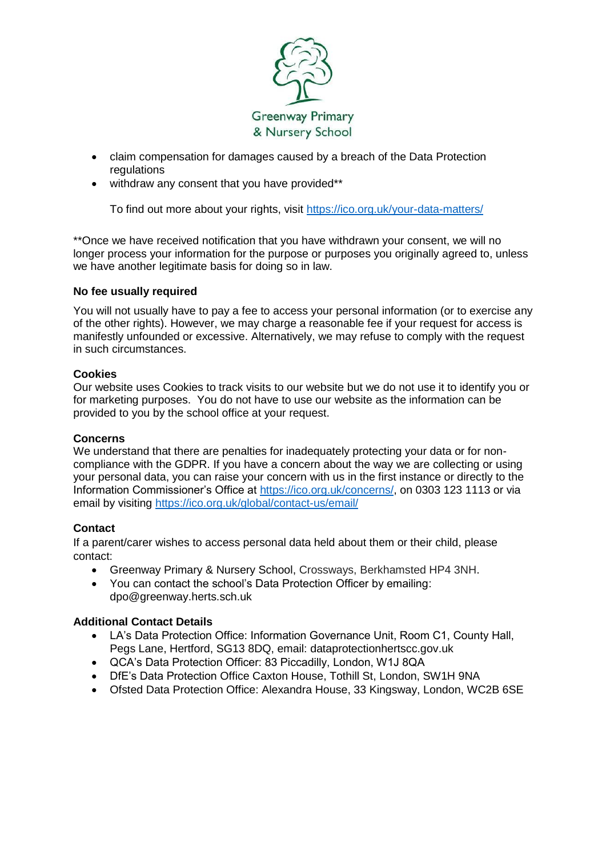

- claim compensation for damages caused by a breach of the Data Protection regulations
- withdraw any consent that you have provided\*\*

To find out more about your rights, visit<https://ico.org.uk/your-data-matters/>

\*\*Once we have received notification that you have withdrawn your consent, we will no longer process your information for the purpose or purposes you originally agreed to, unless we have another legitimate basis for doing so in law.

### **No fee usually required**

You will not usually have to pay a fee to access your personal information (or to exercise any of the other rights). However, we may charge a reasonable fee if your request for access is manifestly unfounded or excessive. Alternatively, we may refuse to comply with the request in such circumstances.

#### **Cookies**

Our website uses Cookies to track visits to our website but we do not use it to identify you or for marketing purposes. You do not have to use our website as the information can be provided to you by the school office at your request.

### **Concerns**

We understand that there are penalties for inadequately protecting your data or for noncompliance with the GDPR. If you have a concern about the way we are collecting or using your personal data, you can raise your concern with us in the first instance or directly to the Information Commissioner's Office at [https://ico.org.uk/concerns/,](https://ico.org.uk/concerns/) on 0303 123 1113 or via email by visiting<https://ico.org.uk/global/contact-us/email/>

### **Contact**

If a parent/carer wishes to access personal data held about them or their child, please contact:

- Greenway Primary & Nursery School, Crossways, Berkhamsted HP4 3NH.
- You can contact the school's Data Protection Officer by emailing: dpo@greenway.herts.sch.uk

### **Additional Contact Details**

- LA's Data Protection Office: Information Governance Unit, Room C1, County Hall, Pegs Lane, Hertford, SG13 8DQ, email: dataprotectionhertscc.gov.uk
- QCA's Data Protection Officer: 83 Piccadilly, London, W1J 8QA
- DfE's Data Protection Office Caxton House, Tothill St, London, SW1H 9NA
- Ofsted Data Protection Office: Alexandra House, 33 Kingsway, London, WC2B 6SE